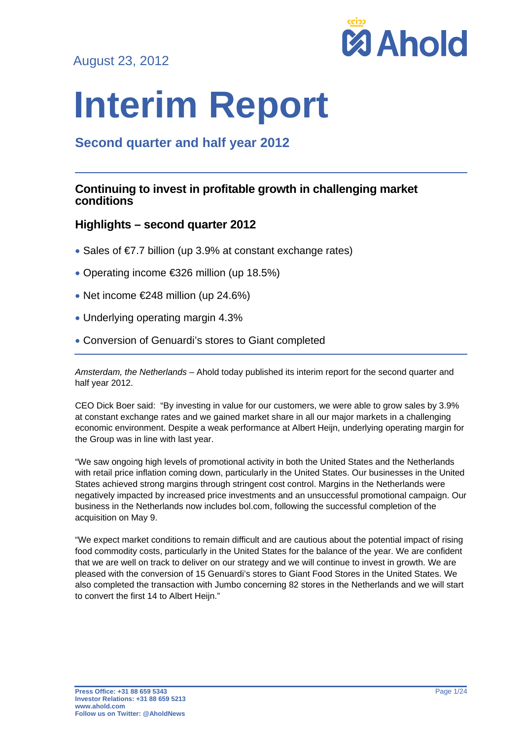August 23, 2012



# **Interim Report**

# **Second quarter and half year 2012**

## **Continuing to invest in profitable growth in challenging market conditions**

## **Highlights – second quarter 2012**

- Sales of €7.7 billion (up 3.9% at constant exchange rates)
- Operating income €326 million (up 18.5%)
- $\bullet$  Net income  $\epsilon$ 248 million (up 24.6%)
- Underlying operating margin 4.3%
- Conversion of Genuardi's stores to Giant completed

*Amsterdam, the Netherlands* – Ahold today published its interim report for the second quarter and half year 2012.

CEO Dick Boer said: "By investing in value for our customers, we were able to grow sales by 3.9% at constant exchange rates and we gained market share in all our major markets in a challenging economic environment. Despite a weak performance at Albert Heijn, underlying operating margin for the Group was in line with last year.

"We saw ongoing high levels of promotional activity in both the United States and the Netherlands with retail price inflation coming down, particularly in the United States. Our businesses in the United States achieved strong margins through stringent cost control. Margins in the Netherlands were negatively impacted by increased price investments and an unsuccessful promotional campaign. Our business in the Netherlands now includes bol.com, following the successful completion of the acquisition on May 9.

"We expect market conditions to remain difficult and are cautious about the potential impact of rising food commodity costs, particularly in the United States for the balance of the year. We are confident that we are well on track to deliver on our strategy and we will continue to invest in growth. We are pleased with the conversion of 15 Genuardi's stores to Giant Food Stores in the United States. We also completed the transaction with Jumbo concerning 82 stores in the Netherlands and we will start to convert the first 14 to Albert Heijn."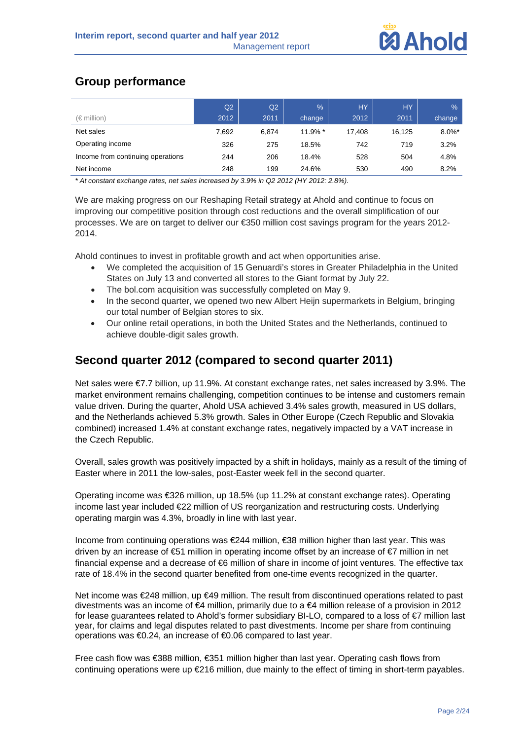

# **Group performance**

|                                   | Q2    | Q2    | $\%$       | <b>HY</b> | <b>HY</b> | %         |
|-----------------------------------|-------|-------|------------|-----------|-----------|-----------|
| $(\in$ million)                   | 2012  | 2011  | change     | 2012      | 2011      | change    |
| Net sales                         | 7,692 | 6.874 | $11.9\%$ * | 17.408    | 16.125    | $8.0\%$ * |
| Operating income                  | 326   | 275   | 18.5%      | 742       | 719       | 3.2%      |
| Income from continuing operations | 244   | 206   | 18.4%      | 528       | 504       | 4.8%      |
| Net income                        | 248   | 199   | 24.6%      | 530       | 490       | 8.2%      |

*\* At constant exchange rates, net sales increased by 3.9% in Q2 2012 (HY 2012: 2.8%).*

We are making progress on our Reshaping Retail strategy at Ahold and continue to focus on improving our competitive position through cost reductions and the overall simplification of our processes. We are on target to deliver our €350 million cost savings program for the years 2012- 2014.

Ahold continues to invest in profitable growth and act when opportunities arise.

- We completed the acquisition of 15 Genuardi's stores in Greater Philadelphia in the United States on July 13 and converted all stores to the Giant format by July 22.
- The bol.com acquisition was successfully completed on May 9.
- In the second quarter, we opened two new Albert Heijn supermarkets in Belgium, bringing our total number of Belgian stores to six.
- Our online retail operations, in both the United States and the Netherlands, continued to achieve double-digit sales growth.

# **Second quarter 2012 (compared to second quarter 2011)**

Net sales were €7.7 billion, up 11.9%. At constant exchange rates, net sales increased by 3.9%. The market environment remains challenging, competition continues to be intense and customers remain value driven. During the quarter, Ahold USA achieved 3.4% sales growth, measured in US dollars, and the Netherlands achieved 5.3% growth. Sales in Other Europe (Czech Republic and Slovakia combined) increased 1.4% at constant exchange rates, negatively impacted by a VAT increase in the Czech Republic.

Overall, sales growth was positively impacted by a shift in holidays, mainly as a result of the timing of Easter where in 2011 the low-sales, post-Easter week fell in the second quarter.

Operating income was €326 million, up 18.5% (up 11.2% at constant exchange rates). Operating income last year included €22 million of US reorganization and restructuring costs. Underlying operating margin was 4.3%, broadly in line with last year.

Income from continuing operations was €244 million, €38 million higher than last year. This was driven by an increase of €51 million in operating income offset by an increase of €7 million in net financial expense and a decrease of €6 million of share in income of joint ventures. The effective tax rate of 18.4% in the second quarter benefited from one-time events recognized in the quarter.

Net income was €248 million, up €49 million. The result from discontinued operations related to past divestments was an income of €4 million, primarily due to a €4 million release of a provision in 2012 for lease guarantees related to Ahold's former subsidiary BI-LO, compared to a loss of €7 million last year, for claims and legal disputes related to past divestments. Income per share from continuing operations was €0.24, an increase of €0.06 compared to last year.

Free cash flow was €388 million, €351 million higher than last year. Operating cash flows from continuing operations were up €216 million, due mainly to the effect of timing in short-term payables.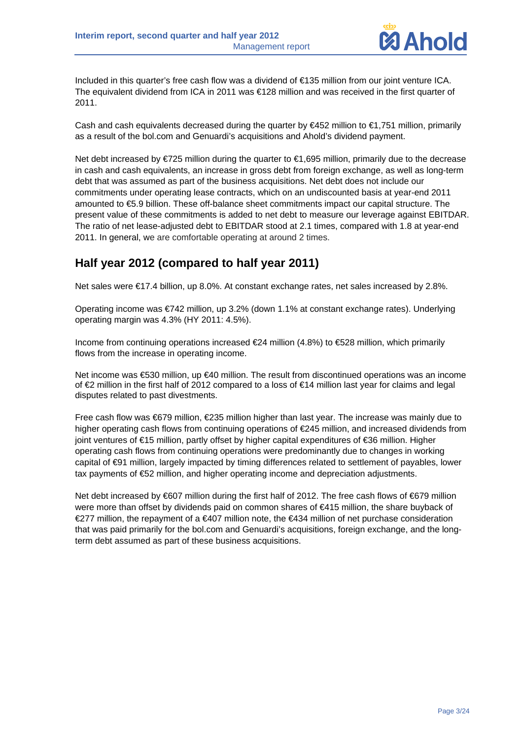

Included in this quarter's free cash flow was a dividend of €135 million from our joint venture ICA. The equivalent dividend from ICA in 2011 was €128 million and was received in the first quarter of 2011.

Cash and cash equivalents decreased during the quarter by €452 million to €1,751 million, primarily as a result of the bol.com and Genuardi's acquisitions and Ahold's dividend payment.

Net debt increased by €725 million during the quarter to €1,695 million, primarily due to the decrease in cash and cash equivalents, an increase in gross debt from foreign exchange, as well as long-term debt that was assumed as part of the business acquisitions. Net debt does not include our commitments under operating lease contracts, which on an undiscounted basis at year-end 2011 amounted to €5.9 billion. These off-balance sheet commitments impact our capital structure. The present value of these commitments is added to net debt to measure our leverage against EBITDAR. The ratio of net lease-adjusted debt to EBITDAR stood at 2.1 times, compared with 1.8 at year-end 2011. In general, we are comfortable operating at around 2 times.

# **Half year 2012 (compared to half year 2011)**

Net sales were €17.4 billion, up 8.0%. At constant exchange rates, net sales increased by 2.8%.

Operating income was €742 million, up 3.2% (down 1.1% at constant exchange rates). Underlying operating margin was 4.3% (HY 2011: 4.5%).

Income from continuing operations increased €24 million (4.8%) to €528 million, which primarily flows from the increase in operating income.

Net income was €530 million, up €40 million. The result from discontinued operations was an income of €2 million in the first half of 2012 compared to a loss of €14 million last year for claims and legal disputes related to past divestments.

Free cash flow was €679 million, €235 million higher than last year. The increase was mainly due to higher operating cash flows from continuing operations of €245 million, and increased dividends from joint ventures of €15 million, partly offset by higher capital expenditures of €36 million. Higher operating cash flows from continuing operations were predominantly due to changes in working capital of €91 million, largely impacted by timing differences related to settlement of payables, lower tax payments of €52 million, and higher operating income and depreciation adjustments.

Net debt increased by €607 million during the first half of 2012. The free cash flows of €679 million were more than offset by dividends paid on common shares of €415 million, the share buyback of €277 million, the repayment of a €407 million note, the €434 million of net purchase consideration that was paid primarily for the bol.com and Genuardi's acquisitions, foreign exchange, and the longterm debt assumed as part of these business acquisitions.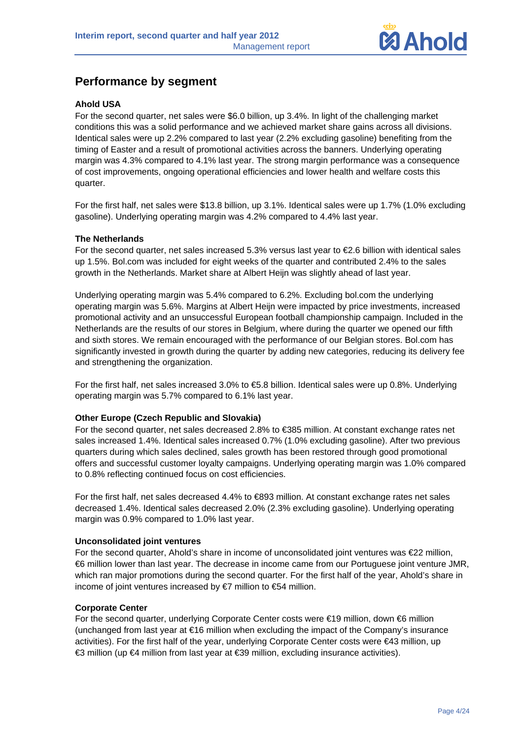

# **Performance by segment**

## **Ahold USA**

For the second quarter, net sales were \$6.0 billion, up 3.4%. In light of the challenging market conditions this was a solid performance and we achieved market share gains across all divisions. Identical sales were up 2.2% compared to last year (2.2% excluding gasoline) benefiting from the timing of Easter and a result of promotional activities across the banners. Underlying operating margin was 4.3% compared to 4.1% last year. The strong margin performance was a consequence of cost improvements, ongoing operational efficiencies and lower health and welfare costs this quarter.

For the first half, net sales were \$13.8 billion, up 3.1%. Identical sales were up 1.7% (1.0% excluding gasoline). Underlying operating margin was 4.2% compared to 4.4% last year.

## **The Netherlands**

For the second quarter, net sales increased 5.3% versus last year to €2.6 billion with identical sales up 1.5%. Bol.com was included for eight weeks of the quarter and contributed 2.4% to the sales growth in the Netherlands. Market share at Albert Heijn was slightly ahead of last year.

Underlying operating margin was 5.4% compared to 6.2%. Excluding bol.com the underlying operating margin was 5.6%. Margins at Albert Heijn were impacted by price investments, increased promotional activity and an unsuccessful European football championship campaign. Included in the Netherlands are the results of our stores in Belgium, where during the quarter we opened our fifth and sixth stores. We remain encouraged with the performance of our Belgian stores. Bol.com has significantly invested in growth during the quarter by adding new categories, reducing its delivery fee and strengthening the organization.

For the first half, net sales increased 3.0% to €5.8 billion. Identical sales were up 0.8%. Underlying operating margin was 5.7% compared to 6.1% last year.

## **Other Europe (Czech Republic and Slovakia)**

For the second quarter, net sales decreased 2.8% to €385 million. At constant exchange rates net sales increased 1.4%. Identical sales increased 0.7% (1.0% excluding gasoline). After two previous quarters during which sales declined, sales growth has been restored through good promotional offers and successful customer loyalty campaigns. Underlying operating margin was 1.0% compared to 0.8% reflecting continued focus on cost efficiencies.

For the first half, net sales decreased 4.4% to €893 million. At constant exchange rates net sales decreased 1.4%. Identical sales decreased 2.0% (2.3% excluding gasoline). Underlying operating margin was 0.9% compared to 1.0% last year.

## **Unconsolidated joint ventures**

For the second quarter, Ahold's share in income of unconsolidated joint ventures was €22 million, €6 million lower than last year. The decrease in income came from our Portuguese joint venture JMR, which ran major promotions during the second quarter. For the first half of the year, Ahold's share in income of joint ventures increased by  $€7$  million to  $€54$  million.

## **Corporate Center**

For the second quarter, underlying Corporate Center costs were €19 million, down €6 million (unchanged from last year at €16 million when excluding the impact of the Company's insurance activities). For the first half of the year, underlying Corporate Center costs were €43 million, up €3 million (up €4 million from last year at €39 million, excluding insurance activities).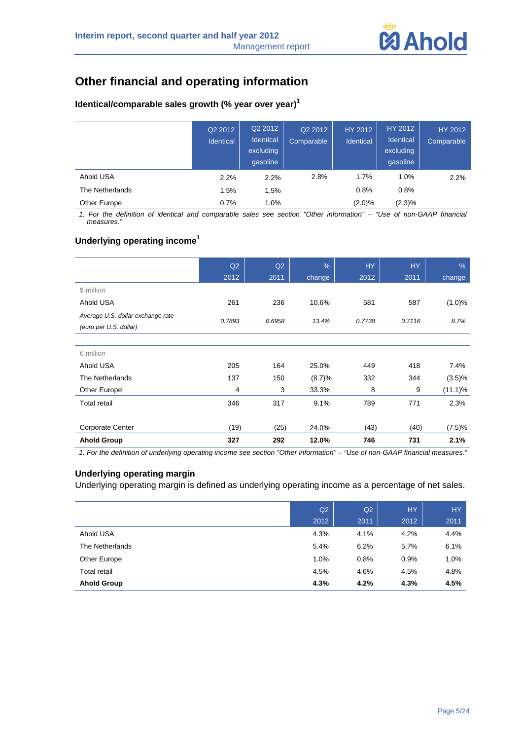

# **Other financial and operating information**

## **Identical/comparable sales growth (% year over year)<sup>1</sup>**

|                 | Q2 2012<br>Identical | Q2 2012<br>Identical<br>excluding<br>qasoline | Q2 2012<br>Comparable | HY 2012<br>Identical | HY 2012<br>Identical<br>excluding<br>qasoline | HY 2012<br>Comparable |
|-----------------|----------------------|-----------------------------------------------|-----------------------|----------------------|-----------------------------------------------|-----------------------|
| Ahold USA       | 2.2%                 | 2.2%                                          | 2.8%                  | 1.7%                 | 1.0%                                          | 2.2%                  |
| The Netherlands | 1.5%                 | 1.5%                                          |                       | 0.8%                 | 0.8%                                          |                       |
| Other Europe    | 0.7%                 | 1.0%                                          |                       | $(2.0)\%$            | (2.3)%                                        |                       |

*1. For the definition of identical and comparable sales see section "Other information" – "Use of non-GAAP financial measures."* 

## **Underlying operating income<sup>1</sup>**

|                                                             | Q2     | Q2     | $\frac{0}{0}$ | <b>HY</b> | <b>HY</b> | $\%$       |
|-------------------------------------------------------------|--------|--------|---------------|-----------|-----------|------------|
|                                                             | 2012   | 2011   | change        | 2012      | 2011      | change     |
| \$ million                                                  |        |        |               |           |           |            |
| Ahold USA                                                   | 261    | 236    | 10.6%         | 581       | 587       | (1.0)%     |
| Average U.S. dollar exchange rate<br>(euro per U.S. dollar) | 0.7893 | 0.6958 | 13.4%         | 0.7738    | 0.7116    | 8.7%       |
|                                                             |        |        |               |           |           |            |
| $\epsilon$ million                                          |        |        |               |           |           |            |
| Ahold USA                                                   | 205    | 164    | 25.0%         | 449       | 418       | 7.4%       |
| The Netherlands                                             | 137    | 150    | (8.7)%        | 332       | 344       | $(3.5)\%$  |
| Other Europe                                                | 4      | 3      | 33.3%         | 8         | 9         | $(11.1)\%$ |
| <b>Total retail</b>                                         | 346    | 317    | 9.1%          | 789       | 771       | 2.3%       |
|                                                             |        |        |               |           |           |            |
| <b>Corporate Center</b>                                     | (19)   | (25)   | 24.0%         | (43)      | (40)      | (7.5)%     |
| <b>Ahold Group</b>                                          | 327    | 292    | 12.0%         | 746       | 731       | 2.1%       |

*1. For the definition of underlying operating income see section "Other information" – "Use of non-GAAP financial measures."* 

## **Underlying operating margin**

Underlying operating margin is defined as underlying operating income as a percentage of net sales.

|                     | Q2   | Q2   | <b>HY</b> | <b>HY</b> |
|---------------------|------|------|-----------|-----------|
|                     | 2012 | 2011 | 2012      | 2011      |
| Ahold USA           | 4.3% | 4.1% | 4.2%      | 4.4%      |
| The Netherlands     | 5.4% | 6.2% | 5.7%      | 6.1%      |
| Other Europe        | 1.0% | 0.8% | 0.9%      | 1.0%      |
| <b>Total retail</b> | 4.5% | 4.6% | 4.5%      | 4.8%      |
| <b>Ahold Group</b>  | 4.3% | 4.2% | 4.3%      | 4.5%      |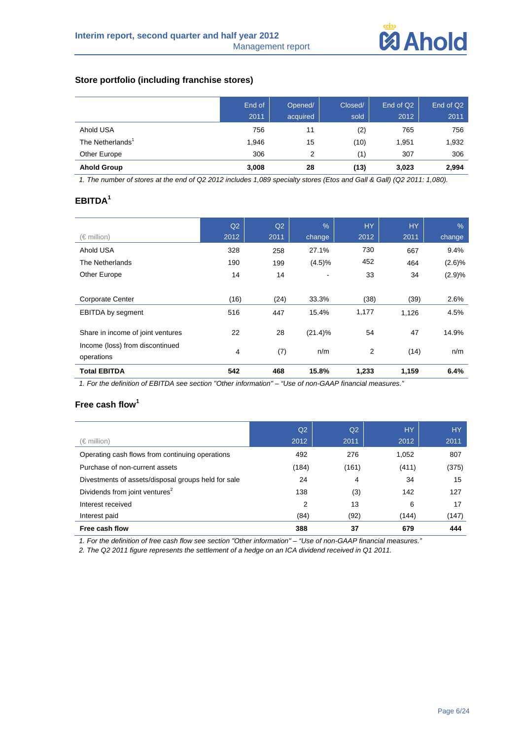

## **Store portfolio (including franchise stores)**

|                              | End of<br>2011 | Opened/<br>acquired | Closed/<br>sold | End of Q <sub>2</sub><br>2012 | End of Q2<br>2011 |
|------------------------------|----------------|---------------------|-----------------|-------------------------------|-------------------|
| Ahold USA                    | 756            | 11                  | (2)             | 765                           | 756               |
| The Netherlands <sup>1</sup> | 1,946          | 15                  | (10)            | 1,951                         | 1,932             |
| Other Europe                 | 306            | 2                   | (1)             | 307                           | 306               |
| <b>Ahold Group</b>           | 3,008          | 28                  | (13)            | 3,023                         | 2,994             |

*1. The number of stores at the end of Q2 2012 includes 1,089 specialty stores (Etos and Gall & Gall) (Q2 2011: 1,080).* 

## **EBITDA<sup>1</sup>**

|                                               | Q2             | Q2   | $\frac{0}{6}$ | <b>HY</b> | <b>HY</b> | $\frac{0}{6}$ |
|-----------------------------------------------|----------------|------|---------------|-----------|-----------|---------------|
| $(\in$ million)                               | 2012           | 2011 | change        | 2012      | 2011      | change        |
| Ahold USA                                     | 328            | 258  | 27.1%         | 730       | 667       | 9.4%          |
| The Netherlands                               | 190            | 199  | (4.5)%        | 452       | 464       | (2.6)%        |
| Other Europe                                  | 14             | 14   | -             | 33        | 34        | (2.9)%        |
|                                               |                |      |               |           |           |               |
| <b>Corporate Center</b>                       | (16)           | (24) | 33.3%         | (38)      | (39)      | 2.6%          |
| EBITDA by segment                             | 516            | 447  | 15.4%         | 1,177     | 1,126     | 4.5%          |
| Share in income of joint ventures             | 22             | 28   | $(21.4)\%$    | 54        | 47        | 14.9%         |
| Income (loss) from discontinued<br>operations | $\overline{4}$ | (7)  | n/m           | 2         | (14)      | n/m           |
| <b>Total EBITDA</b>                           | 542            | 468  | 15.8%         | 1,233     | 1,159     | 6.4%          |

*1. For the definition of EBITDA see section "Other information" – "Use of non-GAAP financial measures."* 

## **Free cash flow<sup>1</sup>**

|                                                     | Q <sub>2</sub> | Q <sub>2</sub> | <b>HY</b> | <b>HY</b> |
|-----------------------------------------------------|----------------|----------------|-----------|-----------|
| $(\in$ million)                                     | 2012           | 2011           | 2012      | 2011      |
| Operating cash flows from continuing operations     | 492            | 276            | 1,052     | 807       |
| Purchase of non-current assets                      | (184)          | (161)          | (411)     | (375)     |
| Divestments of assets/disposal groups held for sale | 24             | 4              | 34        | 15        |
| Dividends from joint ventures <sup>2</sup>          | 138            | (3)            | 142       | 127       |
| Interest received                                   | 2              | 13             | 6         | 17        |
| Interest paid                                       | (84)           | (92)           | (144)     | (147)     |
| Free cash flow                                      | 388            | 37             | 679       | 444       |

*1. For the definition of free cash flow see section "Other information" – "Use of non-GAAP financial measures."* 

*2. The Q2 2011 figure represents the settlement of a hedge on an ICA dividend received in Q1 2011.*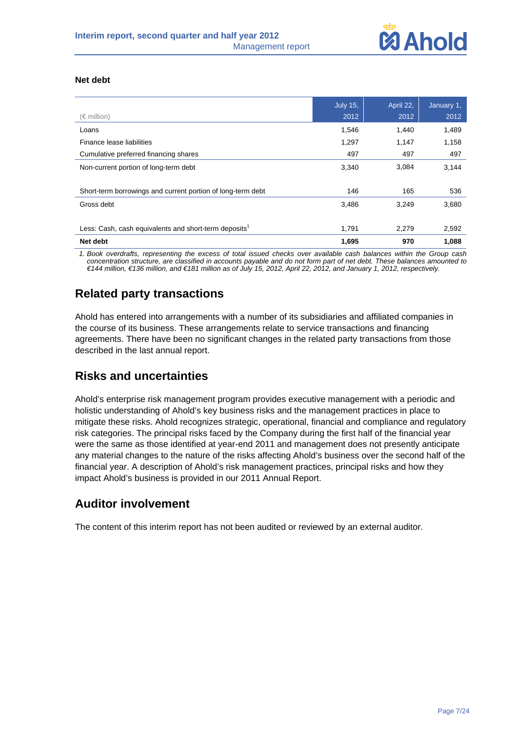

## **Net debt**

| $(\in$ million)                                                   | <b>July 15,</b><br>2012 | April 22,<br>2012 | January 1,<br>2012 |
|-------------------------------------------------------------------|-------------------------|-------------------|--------------------|
| Loans                                                             | 1,546                   | 1,440             | 1,489              |
| Finance lease liabilities                                         | 1,297                   | 1,147             | 1,158              |
| Cumulative preferred financing shares                             | 497                     | 497               | 497                |
| Non-current portion of long-term debt                             | 3,340                   | 3,084             | 3,144              |
|                                                                   |                         |                   |                    |
| Short-term borrowings and current portion of long-term debt       | 146                     | 165               | 536                |
| Gross debt                                                        | 3,486                   | 3,249             | 3,680              |
|                                                                   |                         |                   |                    |
| Less: Cash, cash equivalents and short-term deposits <sup>1</sup> | 1.791                   | 2,279             | 2,592              |
| Net debt                                                          | 1,695                   | 970               | 1,088              |
|                                                                   |                         |                   |                    |

*1. Book overdrafts, representing the excess of total issued checks over available cash balances within the Group cash concentration structure, are classified in accounts payable and do not form part of net debt. These balances amounted to €144 million, €136 million, and €181 million as of July 15, 2012, April 22, 2012, and January 1, 2012, respectively.* 

# **Related party transactions**

Ahold has entered into arrangements with a number of its subsidiaries and affiliated companies in the course of its business. These arrangements relate to service transactions and financing agreements. There have been no significant changes in the related party transactions from those described in the last annual report.

## **Risks and uncertainties**

Ahold's enterprise risk management program provides executive management with a periodic and holistic understanding of Ahold's key business risks and the management practices in place to mitigate these risks. Ahold recognizes strategic, operational, financial and compliance and regulatory risk categories. The principal risks faced by the Company during the first half of the financial year were the same as those identified at year-end 2011 and management does not presently anticipate any material changes to the nature of the risks affecting Ahold's business over the second half of the financial year. A description of Ahold's risk management practices, principal risks and how they impact Ahold's business is provided in our 2011 Annual Report.

# **Auditor involvement**

The content of this interim report has not been audited or reviewed by an external auditor.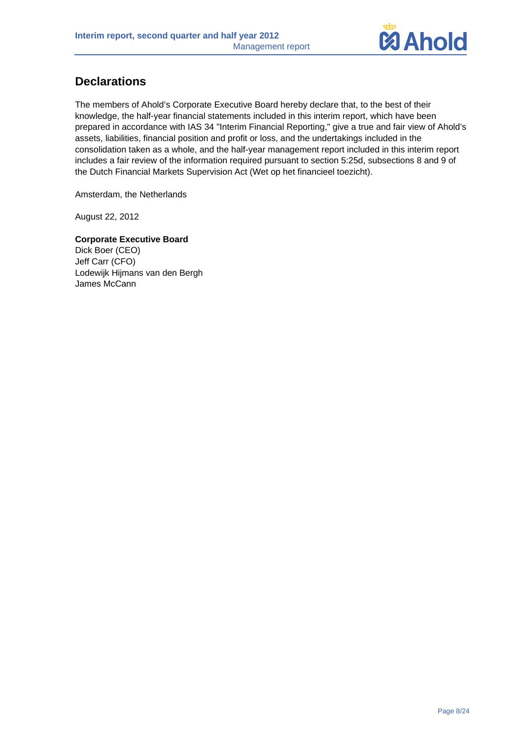

# **Declarations**

The members of Ahold's Corporate Executive Board hereby declare that, to the best of their knowledge, the half-year financial statements included in this interim report, which have been prepared in accordance with IAS 34 "Interim Financial Reporting," give a true and fair view of Ahold's assets, liabilities, financial position and profit or loss, and the undertakings included in the consolidation taken as a whole, and the half-year management report included in this interim report includes a fair review of the information required pursuant to section 5:25d, subsections 8 and 9 of the Dutch Financial Markets Supervision Act (Wet op het financieel toezicht).

Amsterdam, the Netherlands

August 22, 2012

**Corporate Executive Board**  Dick Boer (CEO) Jeff Carr (CFO) Lodewijk Hijmans van den Bergh James McCann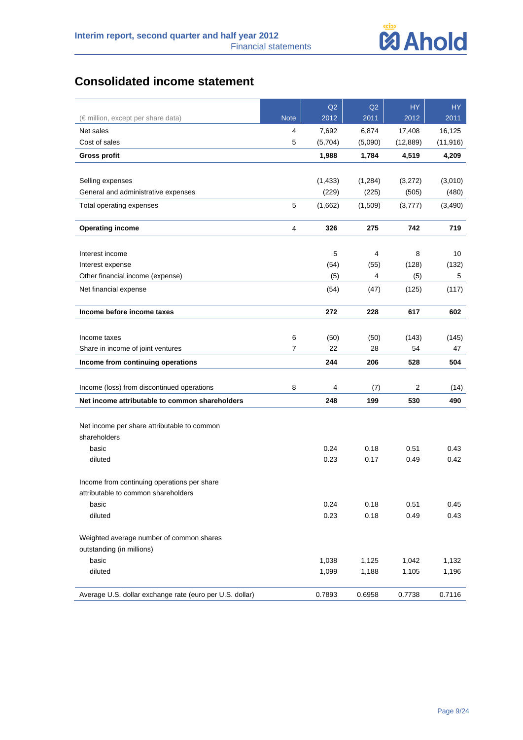

# **Consolidated income statement**

|                                                          |                | Q2       | Q2       | <b>HY</b>      | <b>HY</b> |
|----------------------------------------------------------|----------------|----------|----------|----------------|-----------|
| (€ million, except per share data)                       | <b>Note</b>    | 2012     | 2011     | 2012           | 2011      |
| Net sales                                                | 4              | 7,692    | 6,874    | 17,408         | 16,125    |
| Cost of sales                                            | 5              | (5,704)  | (5,090)  | (12, 889)      | (11, 916) |
| <b>Gross profit</b>                                      |                | 1,988    | 1,784    | 4,519          | 4,209     |
|                                                          |                |          |          |                |           |
| Selling expenses                                         |                | (1, 433) | (1, 284) | (3,272)        | (3,010)   |
| General and administrative expenses                      |                | (229)    | (225)    | (505)          | (480)     |
| Total operating expenses                                 | 5              | (1,662)  | (1,509)  | (3,777)        | (3,490)   |
| <b>Operating income</b>                                  | 4              | 326      | 275      | 742            | 719       |
|                                                          |                |          |          |                |           |
| Interest income                                          |                | 5        | 4        | 8              | 10        |
| Interest expense                                         |                | (54)     | (55)     | (128)          | (132)     |
| Other financial income (expense)                         |                | (5)      | 4        | (5)            | 5         |
| Net financial expense                                    |                | (54)     | (47)     | (125)          | (117)     |
| Income before income taxes                               |                | 272      | 228      | 617            | 602       |
|                                                          |                |          |          |                |           |
| Income taxes                                             | 6              | (50)     | (50)     | (143)          | (145)     |
| Share in income of joint ventures                        | $\overline{7}$ | 22       | 28       | 54             | 47        |
| Income from continuing operations                        |                | 244      | 206      | 528            | 504       |
| Income (loss) from discontinued operations               | 8              | 4        | (7)      | $\overline{c}$ | (14)      |
| Net income attributable to common shareholders           |                | 248      | 199      | 530            | 490       |
|                                                          |                |          |          |                |           |
| Net income per share attributable to common              |                |          |          |                |           |
| shareholders                                             |                |          |          |                |           |
| basic                                                    |                | 0.24     | 0.18     | 0.51           | 0.43      |
| diluted                                                  |                | 0.23     | 0.17     | 0.49           | 0.42      |
| Income from continuing operations per share              |                |          |          |                |           |
| attributable to common shareholders                      |                |          |          |                |           |
| basic                                                    |                | 0.24     | 0.18     | 0.51           | 0.45      |
| diluted                                                  |                | 0.23     | 0.18     | 0.49           | 0.43      |
| Weighted average number of common shares                 |                |          |          |                |           |
| outstanding (in millions)                                |                |          |          |                |           |
| basic                                                    |                | 1,038    | 1,125    | 1,042          | 1,132     |
| diluted                                                  |                | 1,099    | 1,188    | 1,105          | 1,196     |
| Average U.S. dollar exchange rate (euro per U.S. dollar) |                | 0.7893   | 0.6958   | 0.7738         | 0.7116    |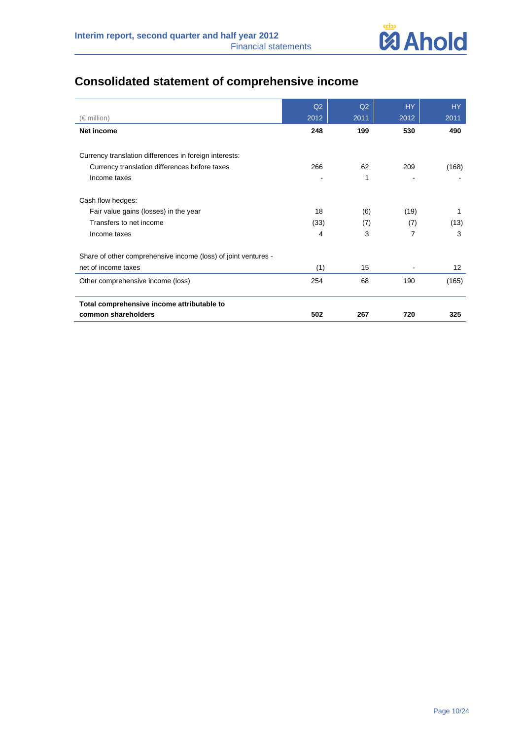

# **Consolidated statement of comprehensive income**

|                                                                | Q2   | Q2   | <b>HY</b> | HY    |
|----------------------------------------------------------------|------|------|-----------|-------|
| $(\in$ million)                                                | 2012 | 2011 | 2012      | 2011  |
| Net income                                                     | 248  | 199  | 530       | 490   |
|                                                                |      |      |           |       |
| Currency translation differences in foreign interests:         |      |      |           |       |
| Currency translation differences before taxes                  | 266  | 62   | 209       | (168) |
| Income taxes                                                   |      | 1    |           |       |
| Cash flow hedges:                                              |      |      |           |       |
| Fair value gains (losses) in the year                          | 18   | (6)  | (19)      | 1     |
| Transfers to net income                                        | (33) | (7)  | (7)       | (13)  |
| Income taxes                                                   | 4    | 3    | 7         | 3     |
| Share of other comprehensive income (loss) of joint ventures - |      |      |           |       |
| net of income taxes                                            | (1)  | 15   |           | 12    |
| Other comprehensive income (loss)                              | 254  | 68   | 190       | (165) |
| Total comprehensive income attributable to                     |      |      |           |       |
| common shareholders                                            | 502  | 267  | 720       | 325   |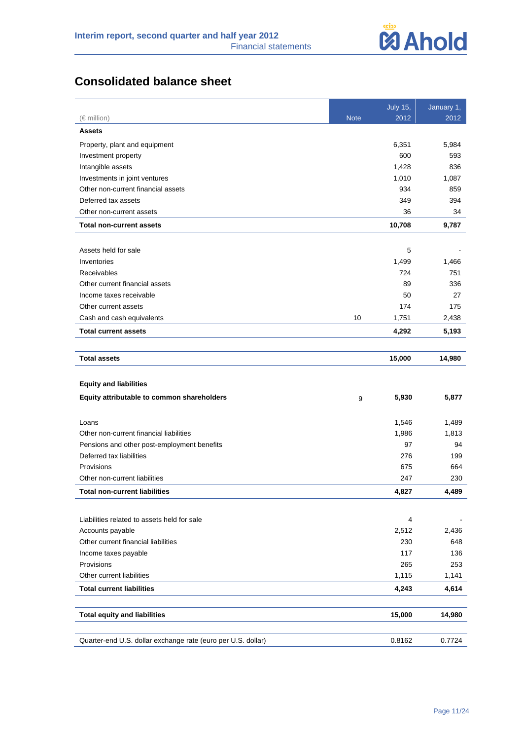

# **Consolidated balance sheet**

|                                                                         |             | <b>July 15,</b> | January 1, |
|-------------------------------------------------------------------------|-------------|-----------------|------------|
| $(\in$ million)                                                         | <b>Note</b> | 2012            | 2012       |
| <b>Assets</b>                                                           |             |                 |            |
| Property, plant and equipment                                           |             | 6,351           | 5,984      |
| Investment property                                                     |             | 600             | 593        |
| Intangible assets                                                       |             | 1,428           | 836        |
| Investments in joint ventures                                           |             | 1,010           | 1,087      |
| Other non-current financial assets                                      |             | 934             | 859        |
| Deferred tax assets                                                     |             | 349             | 394        |
| Other non-current assets                                                |             | 36              | 34         |
| <b>Total non-current assets</b>                                         |             | 10,708          | 9,787      |
|                                                                         |             |                 |            |
| Assets held for sale                                                    |             | 5               |            |
| Inventories                                                             |             | 1,499           | 1,466      |
| Receivables                                                             |             | 724             | 751        |
| Other current financial assets                                          |             | 89              | 336        |
| Income taxes receivable                                                 |             | 50              | 27         |
| Other current assets                                                    |             | 174             | 175        |
| Cash and cash equivalents                                               | 10          | 1,751           | 2,438      |
| <b>Total current assets</b>                                             |             | 4,292           | 5,193      |
|                                                                         |             |                 |            |
| <b>Total assets</b>                                                     |             | 15,000          | 14,980     |
|                                                                         |             |                 |            |
| <b>Equity and liabilities</b>                                           |             |                 |            |
| Equity attributable to common shareholders                              | 9           | 5,930           | 5,877      |
|                                                                         |             |                 |            |
| Loans<br>Other non-current financial liabilities                        |             | 1,546<br>1,986  | 1,489      |
|                                                                         |             | 97              | 1,813      |
| Pensions and other post-employment benefits<br>Deferred tax liabilities |             | 276             | 94         |
| Provisions                                                              |             | 675             | 199        |
| Other non-current liabilities                                           |             | 247             | 664<br>230 |
|                                                                         |             |                 |            |
| <b>Total non-current liabilities</b>                                    |             | 4,827           | 4.489      |
|                                                                         |             |                 |            |
| Liabilities related to assets held for sale                             |             | 4               |            |
| Accounts payable                                                        |             | 2,512           | 2,436      |
| Other current financial liabilities                                     |             | 230             | 648        |
| Income taxes payable                                                    |             | 117             | 136        |
| Provisions                                                              |             | 265             | 253        |
| Other current liabilities                                               |             | 1,115           | 1,141      |
| <b>Total current liabilities</b>                                        |             | 4,243           | 4,614      |
|                                                                         |             |                 |            |
| <b>Total equity and liabilities</b>                                     |             | 15,000          | 14,980     |
|                                                                         |             |                 |            |
| Quarter-end U.S. dollar exchange rate (euro per U.S. dollar)            |             | 0.8162          | 0.7724     |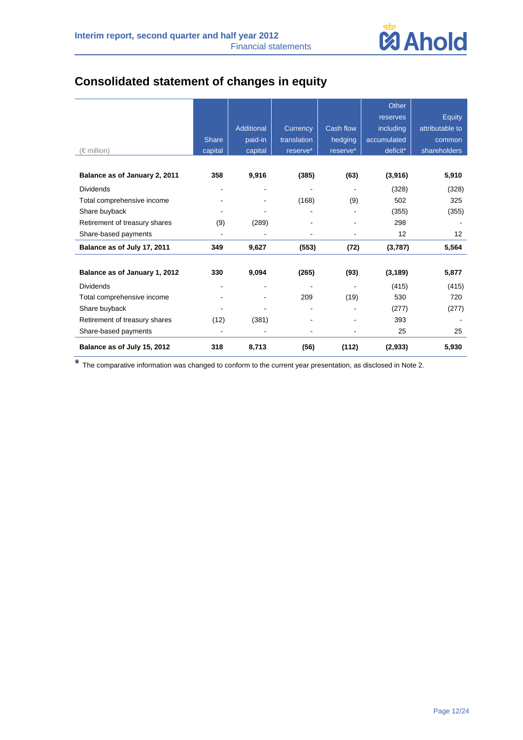

# **Consolidated statement of changes in equity**

|                               |              |            |             |                          | Other       |                 |
|-------------------------------|--------------|------------|-------------|--------------------------|-------------|-----------------|
|                               |              |            |             |                          | reserves    | <b>Equity</b>   |
|                               |              | Additional | Currency    | Cash flow                | including   | attributable to |
|                               | <b>Share</b> | paid-in    | translation | hedging                  | accumulated | common          |
| (€ million)                   | capital      | capital    | reserve*    | reserve*                 | deficit*    | shareholders    |
|                               |              |            |             |                          |             |                 |
| Balance as of January 2, 2011 | 358          | 9,916      | (385)       | (63)                     | (3,916)     | 5,910           |
| <b>Dividends</b>              |              | -          | ۰           | $\overline{\phantom{a}}$ | (328)       | (328)           |
| Total comprehensive income    |              |            | (168)       | (9)                      | 502         | 325             |
| Share buyback                 |              |            |             |                          | (355)       | (355)           |
| Retirement of treasury shares | (9)          | (289)      |             |                          | 298         |                 |
| Share-based payments          |              |            |             |                          | 12          | 12              |
| Balance as of July 17, 2011   | 349          | 9,627      | (553)       | (72)                     | (3,787)     | 5,564           |
|                               |              |            |             |                          |             |                 |
| Balance as of January 1, 2012 | 330          | 9,094      | (265)       | (93)                     | (3, 189)    | 5,877           |
| <b>Dividends</b>              |              |            |             |                          | (415)       | (415)           |
| Total comprehensive income    |              |            | 209         | (19)                     | 530         | 720             |
| Share buyback                 |              |            |             |                          | (277)       | (277)           |
| Retirement of treasury shares | (12)         | (381)      |             |                          | 393         |                 |
| Share-based payments          |              |            |             |                          | 25          | 25              |
| Balance as of July 15, 2012   | 318          | 8,713      | (56)        | (112)                    | (2,933)     | 5,930           |

\* The comparative information was changed to conform to the current year presentation, as disclosed in Note 2.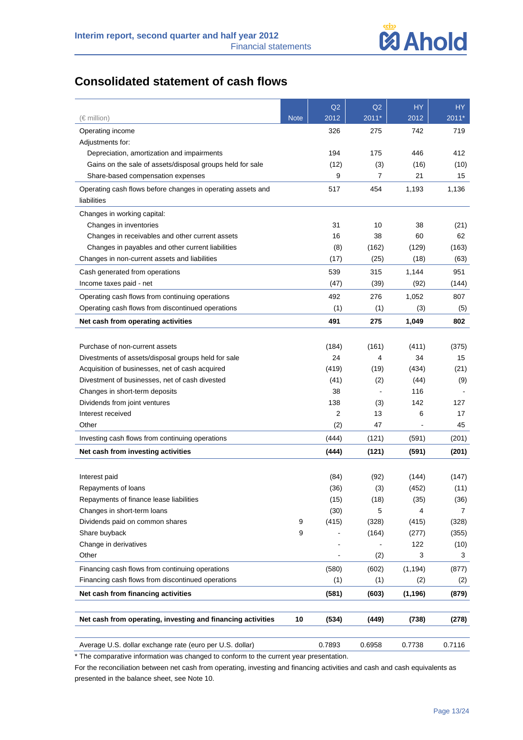

# **Consolidated statement of cash flows**

|                                                             |             | Q2     | Q2      | <b>HY</b> | HY.     |
|-------------------------------------------------------------|-------------|--------|---------|-----------|---------|
| (€ million)                                                 | <b>Note</b> | 2012   | $2011*$ | 2012      | $2011*$ |
| Operating income                                            |             | 326    | 275     | 742       | 719     |
| Adjustments for:                                            |             |        |         |           |         |
| Depreciation, amortization and impairments                  |             | 194    | 175     | 446       | 412     |
| Gains on the sale of assets/disposal groups held for sale   |             | (12)   | (3)     | (16)      | (10)    |
| Share-based compensation expenses                           |             | 9      | 7       | 21        | 15      |
| Operating cash flows before changes in operating assets and |             | 517    | 454     | 1,193     | 1,136   |
| liabilities                                                 |             |        |         |           |         |
| Changes in working capital:                                 |             |        |         |           |         |
| Changes in inventories                                      |             | 31     | 10      | 38        | (21)    |
| Changes in receivables and other current assets             |             | 16     | 38      | 60        | 62      |
| Changes in payables and other current liabilities           |             | (8)    | (162)   | (129)     | (163)   |
| Changes in non-current assets and liabilities               |             | (17)   | (25)    | (18)      | (63)    |
| Cash generated from operations                              |             | 539    | 315     | 1,144     | 951     |
| Income taxes paid - net                                     |             | (47)   | (39)    | (92)      | (144)   |
| Operating cash flows from continuing operations             |             | 492    | 276     | 1,052     | 807     |
| Operating cash flows from discontinued operations           |             | (1)    | (1)     | (3)       | (5)     |
| Net cash from operating activities                          |             | 491    | 275     | 1,049     | 802     |
|                                                             |             |        |         |           |         |
| Purchase of non-current assets                              |             | (184)  | (161)   | (411)     | (375)   |
| Divestments of assets/disposal groups held for sale         |             | 24     | 4       | 34        | 15      |
| Acquisition of businesses, net of cash acquired             |             | (419)  | (19)    | (434)     | (21)    |
| Divestment of businesses, net of cash divested              |             | (41)   | (2)     | (44)      | (9)     |
| Changes in short-term deposits                              |             | 38     |         | 116       |         |
| Dividends from joint ventures                               |             | 138    | (3)     | 142       | 127     |
| Interest received                                           |             | 2      | 13      | 6         | 17      |
| Other                                                       |             | (2)    | 47      |           | 45      |
| Investing cash flows from continuing operations             |             | (444)  | (121)   | (591)     | (201)   |
| Net cash from investing activities                          |             | (444)  | (121)   | (591)     | (201)   |
|                                                             |             |        |         |           |         |
| Interest paid                                               |             | (84)   | (92)    | (144)     | (147)   |
| Repayments of loans                                         |             | (36)   | (3)     | (452)     | (11)    |
| Repayments of finance lease liabilities                     |             | (15)   | (18)    | (35)      | (36)    |
| Changes in short-term loans                                 |             | (30)   | 5       | 4         | 7       |
| Dividends paid on common shares                             | 9           | (415)  | (328)   | (415)     | (328)   |
| Share buyback                                               | 9           |        | (164)   | (277)     | (355)   |
| Change in derivatives                                       |             |        |         | 122       | (10)    |
| Other                                                       |             |        | (2)     | 3         | 3       |
| Financing cash flows from continuing operations             |             | (580)  | (602)   | (1, 194)  | (877)   |
| Financing cash flows from discontinued operations           |             | (1)    | (1)     | (2)       | (2)     |
| Net cash from financing activities                          |             | (581)  | (603)   | (1, 196)  | (879)   |
|                                                             |             |        |         |           |         |
| Net cash from operating, investing and financing activities | 10          | (534)  | (449)   | (738)     | (278)   |
| Average U.S. dollar exchange rate (euro per U.S. dollar)    |             | 0.7893 | 0.6958  | 0.7738    | 0.7116  |

\* The comparative information was changed to conform to the current year presentation.

For the reconciliation between net cash from operating, investing and financing activities and cash and cash equivalents as presented in the balance sheet, see Note 10.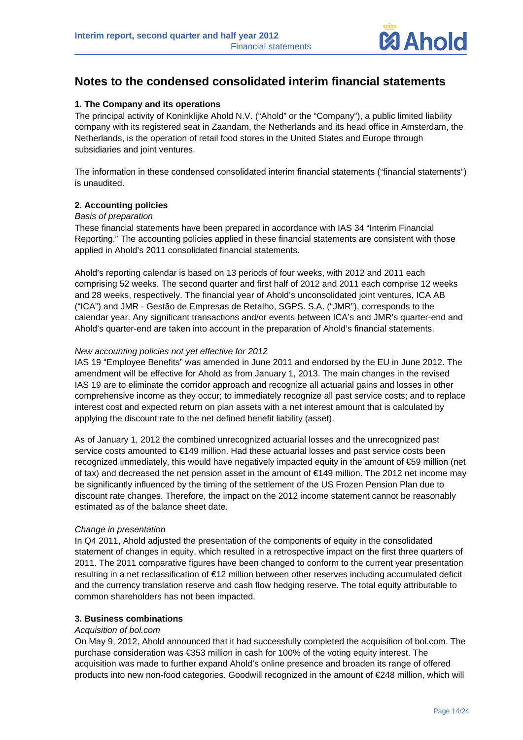

# **Notes to the condensed consolidated interim financial statements**

## **1. The Company and its operations**

The principal activity of Koninklijke Ahold N.V. ("Ahold" or the "Company"), a public limited liability company with its registered seat in Zaandam, the Netherlands and its head office in Amsterdam, the Netherlands, is the operation of retail food stores in the United States and Europe through subsidiaries and joint ventures.

The information in these condensed consolidated interim financial statements ("financial statements") is unaudited.

## **2. Accounting policies**

#### *Basis of preparation*

These financial statements have been prepared in accordance with IAS 34 "Interim Financial Reporting." The accounting policies applied in these financial statements are consistent with those applied in Ahold's 2011 consolidated financial statements.

Ahold's reporting calendar is based on 13 periods of four weeks, with 2012 and 2011 each comprising 52 weeks. The second quarter and first half of 2012 and 2011 each comprise 12 weeks and 28 weeks, respectively. The financial year of Ahold's unconsolidated joint ventures, ICA AB ("ICA") and JMR - Gestão de Empresas de Retalho, SGPS. S.A. ("JMR"), corresponds to the calendar year. Any significant transactions and/or events between ICA's and JMR's quarter-end and Ahold's quarter-end are taken into account in the preparation of Ahold's financial statements.

#### *New accounting policies not yet effective for 2012*

IAS 19 "Employee Benefits" was amended in June 2011 and endorsed by the EU in June 2012. The amendment will be effective for Ahold as from January 1, 2013. The main changes in the revised IAS 19 are to eliminate the corridor approach and recognize all actuarial gains and losses in other comprehensive income as they occur; to immediately recognize all past service costs; and to replace interest cost and expected return on plan assets with a net interest amount that is calculated by applying the discount rate to the net defined benefit liability (asset).

As of January 1, 2012 the combined unrecognized actuarial losses and the unrecognized past service costs amounted to €149 million. Had these actuarial losses and past service costs been recognized immediately, this would have negatively impacted equity in the amount of €59 million (net of tax) and decreased the net pension asset in the amount of €149 million. The 2012 net income may be significantly influenced by the timing of the settlement of the US Frozen Pension Plan due to discount rate changes. Therefore, the impact on the 2012 income statement cannot be reasonably estimated as of the balance sheet date.

## *Change in presentation*

In Q4 2011, Ahold adjusted the presentation of the components of equity in the consolidated statement of changes in equity, which resulted in a retrospective impact on the first three quarters of 2011. The 2011 comparative figures have been changed to conform to the current year presentation resulting in a net reclassification of €12 million between other reserves including accumulated deficit and the currency translation reserve and cash flow hedging reserve. The total equity attributable to common shareholders has not been impacted.

## **3. Business combinations**

#### *Acquisition of bol.com*

On May 9, 2012, Ahold announced that it had successfully completed the acquisition of bol.com. The purchase consideration was €353 million in cash for 100% of the voting equity interest. The acquisition was made to further expand Ahold's online presence and broaden its range of offered products into new non-food categories. Goodwill recognized in the amount of €248 million, which will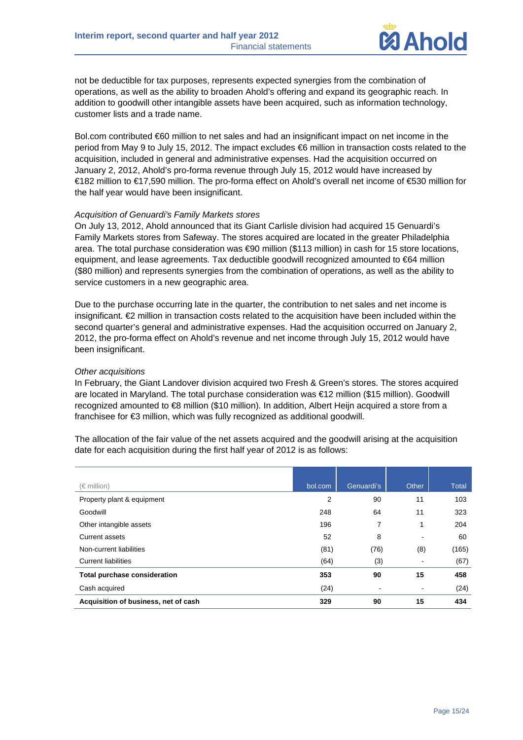

not be deductible for tax purposes, represents expected synergies from the combination of operations, as well as the ability to broaden Ahold's offering and expand its geographic reach. In addition to goodwill other intangible assets have been acquired, such as information technology, customer lists and a trade name.

Bol.com contributed €60 million to net sales and had an insignificant impact on net income in the period from May 9 to July 15, 2012. The impact excludes €6 million in transaction costs related to the acquisition, included in general and administrative expenses. Had the acquisition occurred on January 2, 2012, Ahold's pro-forma revenue through July 15, 2012 would have increased by €182 million to €17,590 million. The pro-forma effect on Ahold's overall net income of €530 million for the half year would have been insignificant.

#### *Acquisition of Genuardi's Family Markets stores*

On July 13, 2012, Ahold announced that its Giant Carlisle division had acquired 15 Genuardi's Family Markets stores from Safeway. The stores acquired are located in the greater Philadelphia area. The total purchase consideration was €90 million (\$113 million) in cash for 15 store locations, equipment, and lease agreements. Tax deductible goodwill recognized amounted to €64 million (\$80 million) and represents synergies from the combination of operations, as well as the ability to service customers in a new geographic area.

Due to the purchase occurring late in the quarter, the contribution to net sales and net income is insignificant. €2 million in transaction costs related to the acquisition have been included within the second quarter's general and administrative expenses. Had the acquisition occurred on January 2, 2012, the pro-forma effect on Ahold's revenue and net income through July 15, 2012 would have been insignificant.

#### *Other acquisitions*

In February, the Giant Landover division acquired two Fresh & Green's stores. The stores acquired are located in Maryland. The total purchase consideration was €12 million (\$15 million). Goodwill recognized amounted to €8 million (\$10 million). In addition, Albert Heijn acquired a store from a franchisee for €3 million, which was fully recognized as additional goodwill.

The allocation of the fair value of the net assets acquired and the goodwill arising at the acquisition date for each acquisition during the first half year of 2012 is as follows:

| (€ million)                          | bol.com | Genuardi's | Other                        | Total |
|--------------------------------------|---------|------------|------------------------------|-------|
| Property plant & equipment           | 2       | 90         | 11                           | 103   |
| Goodwill                             | 248     | 64         | 11                           | 323   |
| Other intangible assets              | 196     | 7          | 1                            | 204   |
| Current assets                       | 52      | 8          | $\overline{\phantom{a}}$     | 60    |
| Non-current liabilities              | (81)    | (76)       | (8)                          | (165) |
| <b>Current liabilities</b>           | (64)    | (3)        | ٠                            | (67)  |
| <b>Total purchase consideration</b>  | 353     | 90         | 15                           | 458   |
| Cash acquired                        | (24)    | ۰          | $\qquad \qquad \blacksquare$ | (24)  |
| Acquisition of business, net of cash | 329     | 90         | 15                           | 434   |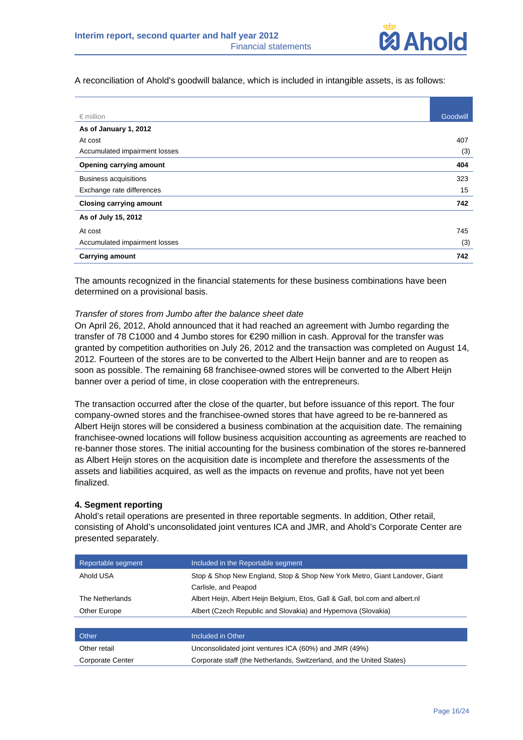

A reconciliation of Ahold's goodwill balance, which is included in intangible assets, is as follows:

| $\epsilon$ million             | Goodwill |
|--------------------------------|----------|
| As of January 1, 2012          |          |
| At cost                        | 407      |
| Accumulated impairment losses  | (3)      |
| <b>Opening carrying amount</b> | 404      |
| <b>Business acquisitions</b>   | 323      |
| Exchange rate differences      | 15       |
| <b>Closing carrying amount</b> | 742      |
| As of July 15, 2012            |          |
| At cost                        | 745      |
| Accumulated impairment losses  | (3)      |
| <b>Carrying amount</b>         | 742      |

The amounts recognized in the financial statements for these business combinations have been determined on a provisional basis.

#### *Transfer of stores from Jumbo after the balance sheet date*

On April 26, 2012, Ahold announced that it had reached an agreement with Jumbo regarding the transfer of 78 C1000 and 4 Jumbo stores for €290 million in cash. Approval for the transfer was granted by competition authorities on July 26, 2012 and the transaction was completed on August 14, 2012. Fourteen of the stores are to be converted to the Albert Heijn banner and are to reopen as soon as possible. The remaining 68 franchisee-owned stores will be converted to the Albert Heijn banner over a period of time, in close cooperation with the entrepreneurs.

The transaction occurred after the close of the quarter, but before issuance of this report. The four company-owned stores and the franchisee-owned stores that have agreed to be re-bannered as Albert Heijn stores will be considered a business combination at the acquisition date. The remaining franchisee-owned locations will follow business acquisition accounting as agreements are reached to re-banner those stores. The initial accounting for the business combination of the stores re-bannered as Albert Heijn stores on the acquisition date is incomplete and therefore the assessments of the assets and liabilities acquired, as well as the impacts on revenue and profits, have not yet been finalized.

#### **4. Segment reporting**

Ahold's retail operations are presented in three reportable segments. In addition, Other retail, consisting of Ahold's unconsolidated joint ventures ICA and JMR, and Ahold's Corporate Center are presented separately.

| Reportable segment | Included in the Reportable segment                                           |
|--------------------|------------------------------------------------------------------------------|
| Ahold USA          | Stop & Shop New England, Stop & Shop New York Metro, Giant Landover, Giant   |
|                    | Carlisle, and Peapod                                                         |
| The Netherlands    | Albert Heijn, Albert Heijn Belgium, Etos, Gall & Gall, bol.com and albert.nl |
| Other Europe       | Albert (Czech Republic and Slovakia) and Hypernova (Slovakia)                |
|                    |                                                                              |
| Other              | Included in Other                                                            |
| Other retail       | Unconsolidated joint ventures ICA (60%) and JMR (49%)                        |

Corporate Center Corporate staff (the Netherlands, Switzerland, and the United States)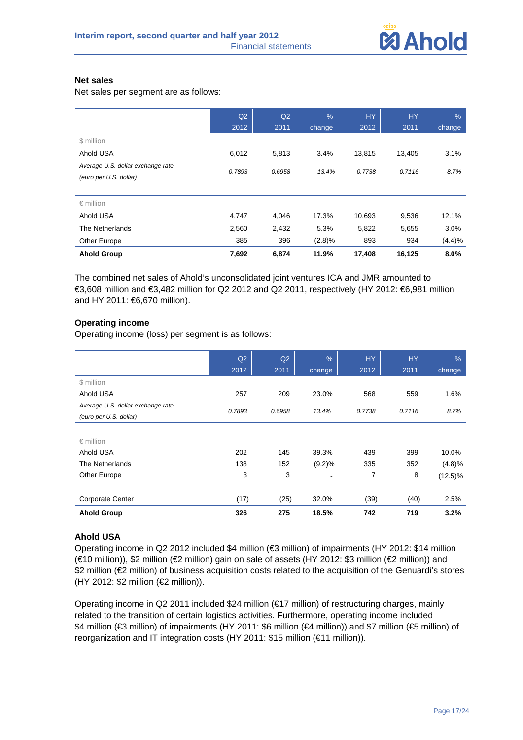

#### **Net sales**

Net sales per segment are as follows:

|                                   | Q2     | Q <sub>2</sub> | %      | <b>HY</b> | <b>HY</b> | $\frac{9}{6}$ |
|-----------------------------------|--------|----------------|--------|-----------|-----------|---------------|
|                                   | 2012   | 2011           | change | 2012      | 2011      | change        |
| \$ million                        |        |                |        |           |           |               |
| Ahold USA                         | 6,012  | 5,813          | 3.4%   | 13,815    | 13,405    | 3.1%          |
| Average U.S. dollar exchange rate | 0.7893 | 0.6958         | 13.4%  | 0.7738    | 0.7116    | 8.7%          |
| (euro per U.S. dollar)            |        |                |        |           |           |               |
|                                   |        |                |        |           |           |               |
| $\epsilon$ million                |        |                |        |           |           |               |
| Ahold USA                         | 4,747  | 4,046          | 17.3%  | 10,693    | 9,536     | 12.1%         |
| The Netherlands                   | 2,560  | 2,432          | 5.3%   | 5,822     | 5,655     | 3.0%          |
| Other Europe                      | 385    | 396            | (2.8)% | 893       | 934       | (4.4)%        |
| <b>Ahold Group</b>                | 7,692  | 6,874          | 11.9%  | 17,408    | 16,125    | 8.0%          |

The combined net sales of Ahold's unconsolidated joint ventures ICA and JMR amounted to €3,608 million and €3,482 million for Q2 2012 and Q2 2011, respectively (HY 2012: €6,981 million and HY 2011: €6,670 million).

## **Operating income**

Operating income (loss) per segment is as follows:

|                                   | Q2     | Q2     | $\frac{9}{6}$ | <b>HY</b> | HY.    | $\%$       |
|-----------------------------------|--------|--------|---------------|-----------|--------|------------|
|                                   | 2012   | 2011   | change        | 2012      | 2011   | change     |
| \$ million                        |        |        |               |           |        |            |
| Ahold USA                         | 257    | 209    | 23.0%         | 568       | 559    | 1.6%       |
| Average U.S. dollar exchange rate | 0.7893 | 0.6958 | 13.4%         | 0.7738    | 0.7116 | 8.7%       |
| (euro per U.S. dollar)            |        |        |               |           |        |            |
|                                   |        |        |               |           |        |            |
| $\epsilon$ million                |        |        |               |           |        |            |
| Ahold USA                         | 202    | 145    | 39.3%         | 439       | 399    | 10.0%      |
| The Netherlands                   | 138    | 152    | (9.2)%        | 335       | 352    | (4.8)%     |
| Other Europe                      | 3      | 3      |               | 7         | 8      | $(12.5)\%$ |
|                                   |        |        |               |           |        |            |
| <b>Corporate Center</b>           | (17)   | (25)   | 32.0%         | (39)      | (40)   | 2.5%       |
| <b>Ahold Group</b>                | 326    | 275    | 18.5%         | 742       | 719    | 3.2%       |

## **Ahold USA**

Operating income in Q2 2012 included \$4 million (€3 million) of impairments (HY 2012: \$14 million (€10 million)), \$2 million (€2 million) gain on sale of assets (HY 2012: \$3 million (€2 million)) and \$2 million (€2 million) of business acquisition costs related to the acquisition of the Genuardi's stores (HY 2012: \$2 million (€2 million)).

Operating income in Q2 2011 included \$24 million (€17 million) of restructuring charges, mainly related to the transition of certain logistics activities. Furthermore, operating income included \$4 million (€3 million) of impairments (HY 2011: \$6 million (€4 million)) and \$7 million (€5 million) of reorganization and IT integration costs (HY 2011: \$15 million (€11 million)).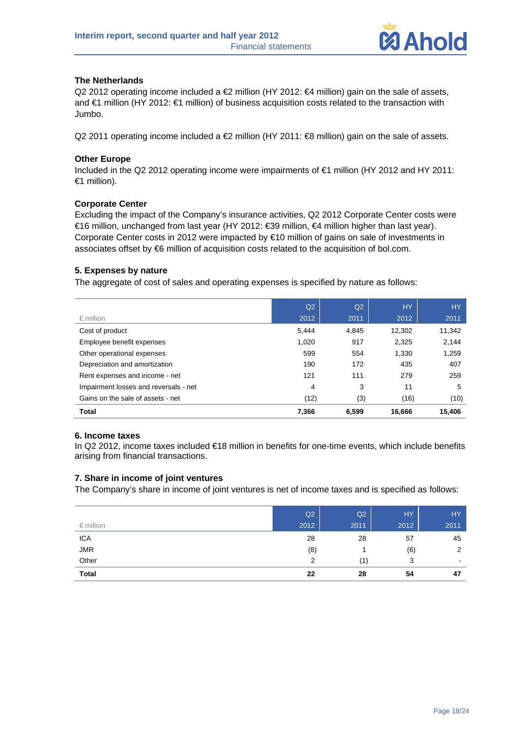

## **The Netherlands**

Q2 2012 operating income included a €2 million (HY 2012: €4 million) gain on the sale of assets, and €1 million (HY 2012: €1 million) of business acquisition costs related to the transaction with Jumbo.

Q2 2011 operating income included a €2 million (HY 2011: €8 million) gain on the sale of assets.

#### **Other Europe**

Included in the Q2 2012 operating income were impairments of €1 million (HY 2012 and HY 2011: €1 million).

#### **Corporate Center**

Excluding the impact of the Company's insurance activities, Q2 2012 Corporate Center costs were €16 million, unchanged from last year (HY 2012: €39 million, €4 million higher than last year). Corporate Center costs in 2012 were impacted by €10 million of gains on sale of investments in associates offset by €6 million of acquisition costs related to the acquisition of bol.com.

## **5. Expenses by nature**

The aggregate of cost of sales and operating expenses is specified by nature as follows:

|                                       | Q <sub>2</sub> | Q <sub>2</sub> | <b>HY</b> | <b>HY</b> |
|---------------------------------------|----------------|----------------|-----------|-----------|
| $\epsilon$ million                    | 2012           | 2011           | 2012      | 2011      |
| Cost of product                       | 5,444          | 4,845          | 12,302    | 11,342    |
| Employee benefit expenses             | 1,020          | 917            | 2,325     | 2,144     |
| Other operational expenses            | 599            | 554            | 1.330     | 1,259     |
| Depreciation and amortization         | 190            | 172            | 435       | 407       |
| Rent expenses and income - net        | 121            | 111            | 279       | 259       |
| Impairment losses and reversals - net | 4              | 3              | 11        | 5         |
| Gains on the sale of assets - net     | (12)           | (3)            | (16)      | (10)      |
| <b>Total</b>                          | 7,366          | 6.599          | 16,666    | 15,406    |

#### **6. Income taxes**

In Q2 2012, income taxes included €18 million in benefits for one-time events, which include benefits arising from financial transactions.

## **7. Share in income of joint ventures**

The Company's share in income of joint ventures is net of income taxes and is specified as follows:

| $\epsilon$ million | Q2<br>2012 | Q2<br>2011 | HY<br>2012' | <b>HY</b><br>2011 |
|--------------------|------------|------------|-------------|-------------------|
| <b>ICA</b>         | 28         | 28         | 57          | 45                |
| <b>JMR</b>         | (8)        |            | (6)         | $\overline{2}$    |
| Other              | 2          | (1)        | 3           | $\,$              |
| <b>Total</b>       | 22         | 28         | 54          | 47                |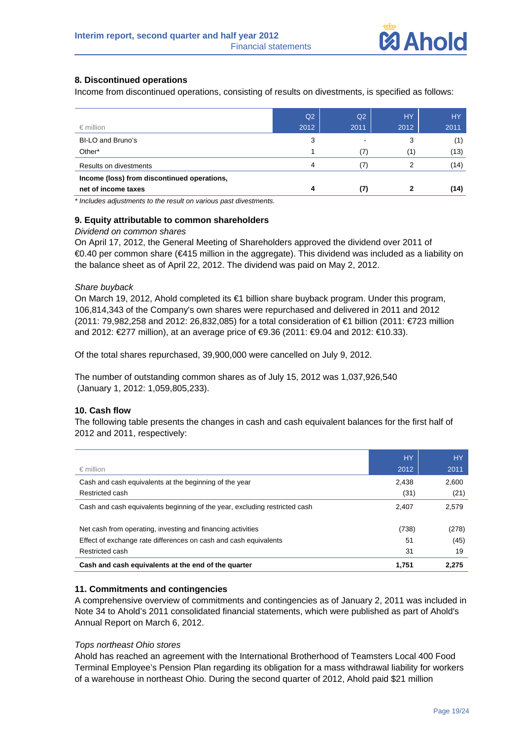

## **8. Discontinued operations**

Income from discontinued operations, consisting of results on divestments, is specified as follows:

|                                             | Q <sub>2</sub> | Q2   | <b>HY</b> | <b>HY</b> |
|---------------------------------------------|----------------|------|-----------|-----------|
| $\epsilon$ million                          | 2012           | 2011 | 2012      | 2011      |
| BI-LO and Bruno's                           | 3              |      | 3         | (1)       |
| Other*                                      |                | (7)  | (1)       | (13)      |
| Results on divestments                      | 4              |      |           | (14)      |
| Income (loss) from discontinued operations, |                |      |           |           |
| net of income taxes                         | 4              | (7)  |           | (14)      |

*\* Includes adjustments to the result on various past divestments.* 

#### **9. Equity attributable to common shareholders**

#### *Dividend on common shares*

On April 17, 2012, the General Meeting of Shareholders approved the dividend over 2011 of €0.40 per common share (€415 million in the aggregate). This dividend was included as a liability on the balance sheet as of April 22, 2012. The dividend was paid on May 2, 2012.

#### *Share buyback*

On March 19, 2012, Ahold completed its €1 billion share buyback program. Under this program, 106,814,343 of the Company's own shares were repurchased and delivered in 2011 and 2012 (2011: 79,982,258 and 2012: 26,832,085) for a total consideration of €1 billion (2011: €723 million and 2012: €277 million), at an average price of €9.36 (2011: €9.04 and 2012: €10.33).

Of the total shares repurchased, 39,900,000 were cancelled on July 9, 2012.

The number of outstanding common shares as of July 15, 2012 was 1,037,926,540 (January 1, 2012: 1,059,805,233).

#### **10. Cash flow**

The following table presents the changes in cash and cash equivalent balances for the first half of 2012 and 2011, respectively:

|                                                                            | <b>HY</b> | <b>HY</b> |
|----------------------------------------------------------------------------|-----------|-----------|
| $\epsilon$ million                                                         | 2012      | 2011      |
| Cash and cash equivalents at the beginning of the year                     | 2,438     | 2,600     |
| Restricted cash                                                            | (31)      | (21)      |
| Cash and cash equivalents beginning of the year, excluding restricted cash | 2,407     | 2,579     |
| Net cash from operating, investing and financing activities                | (738)     | (278)     |
| Effect of exchange rate differences on cash and cash equivalents           | 51        | (45)      |
| Restricted cash                                                            | 31        | 19        |
| Cash and cash equivalents at the end of the quarter                        | 1,751     | 2.275     |

#### **11. Commitments and contingencies**

A comprehensive overview of commitments and contingencies as of January 2, 2011 was included in Note 34 to Ahold's 2011 consolidated financial statements, which were published as part of Ahold's Annual Report on March 6, 2012.

#### *Tops northeast Ohio stores*

Ahold has reached an agreement with the International Brotherhood of Teamsters Local 400 Food Terminal Employee's Pension Plan regarding its obligation for a mass withdrawal liability for workers of a warehouse in northeast Ohio. During the second quarter of 2012, Ahold paid \$21 million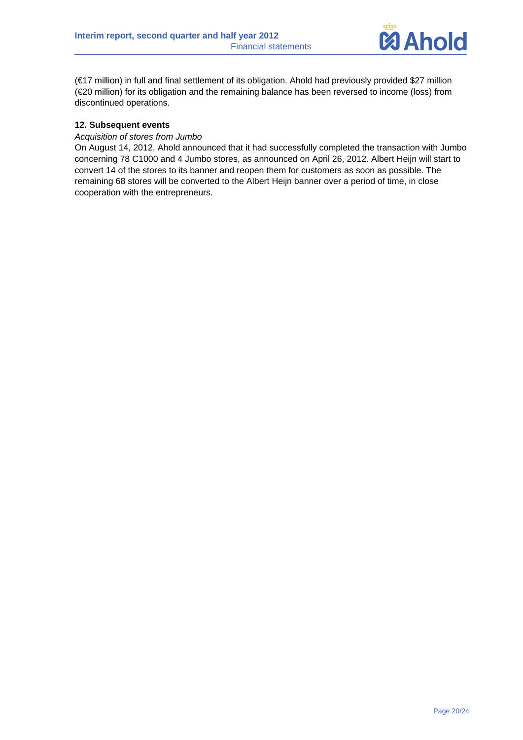

(€17 million) in full and final settlement of its obligation. Ahold had previously provided \$27 million (€20 million) for its obligation and the remaining balance has been reversed to income (loss) from discontinued operations.

## **12. Subsequent events**

#### *Acquisition of stores from Jumbo*

On August 14, 2012, Ahold announced that it had successfully completed the transaction with Jumbo concerning 78 C1000 and 4 Jumbo stores, as announced on April 26, 2012. Albert Heijn will start to convert 14 of the stores to its banner and reopen them for customers as soon as possible. The remaining 68 stores will be converted to the Albert Heijn banner over a period of time, in close cooperation with the entrepreneurs.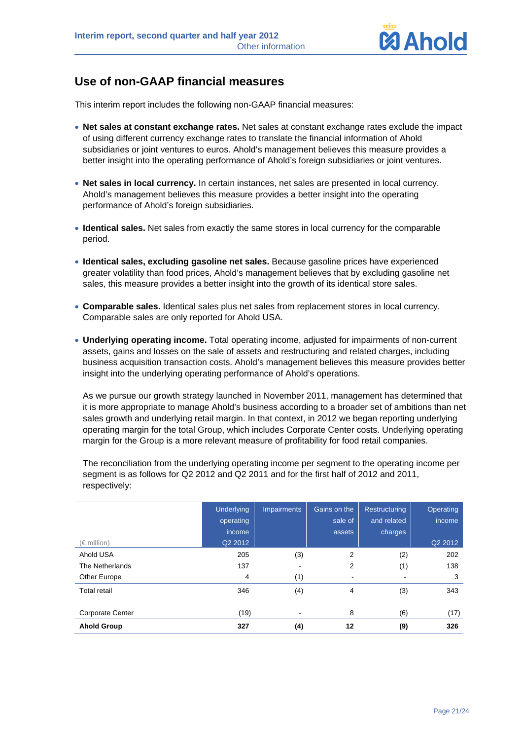

# **Use of non-GAAP financial measures**

This interim report includes the following non-GAAP financial measures:

- **Net sales at constant exchange rates.** Net sales at constant exchange rates exclude the impact of using different currency exchange rates to translate the financial information of Ahold subsidiaries or joint ventures to euros. Ahold's management believes this measure provides a better insight into the operating performance of Ahold's foreign subsidiaries or joint ventures.
- **Net sales in local currency.** In certain instances, net sales are presented in local currency. Ahold's management believes this measure provides a better insight into the operating performance of Ahold's foreign subsidiaries.
- **Identical sales.** Net sales from exactly the same stores in local currency for the comparable period.
- **Identical sales, excluding gasoline net sales.** Because gasoline prices have experienced greater volatility than food prices, Ahold's management believes that by excluding gasoline net sales, this measure provides a better insight into the growth of its identical store sales.
- **Comparable sales.** Identical sales plus net sales from replacement stores in local currency. Comparable sales are only reported for Ahold USA.
- **Underlying operating income.** Total operating income, adjusted for impairments of non-current assets, gains and losses on the sale of assets and restructuring and related charges, including business acquisition transaction costs. Ahold's management believes this measure provides better insight into the underlying operating performance of Ahold's operations.

As we pursue our growth strategy launched in November 2011, management has determined that it is more appropriate to manage Ahold's business according to a broader set of ambitions than net sales growth and underlying retail margin. In that context, in 2012 we began reporting underlying operating margin for the total Group, which includes Corporate Center costs. Underlying operating margin for the Group is a more relevant measure of profitability for food retail companies.

The reconciliation from the underlying operating income per segment to the operating income per segment is as follows for Q2 2012 and Q2 2011 and for the first half of 2012 and 2011, respectively:

|                         | <b>Underlying</b><br>operating | <b>Impairments</b>       | Gains on the<br>sale of | <b>Restructuring</b><br>and related | Operating<br>income |
|-------------------------|--------------------------------|--------------------------|-------------------------|-------------------------------------|---------------------|
|                         | income                         |                          | assets                  | charges                             |                     |
| $(\in$ million)         | Q2 2012                        |                          |                         |                                     | Q2 2012             |
| Ahold USA               | 205                            | (3)                      | 2                       | (2)                                 | 202                 |
| The Netherlands         | 137                            | ٠                        | 2                       | (1)                                 | 138                 |
| Other Europe            | 4                              | (1)                      | ۰                       |                                     | 3                   |
| <b>Total retail</b>     | 346                            | (4)                      | 4                       | (3)                                 | 343                 |
| <b>Corporate Center</b> | (19)                           | $\overline{\phantom{a}}$ | 8                       | (6)                                 | (17)                |
| <b>Ahold Group</b>      | 327                            | (4)                      | 12                      | (9)                                 | 326                 |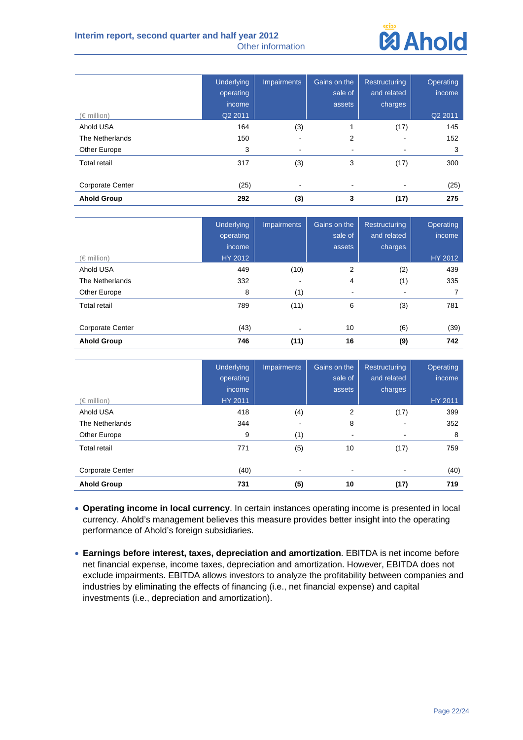

|                         | <b>Underlying</b><br>operating | <b>Impairments</b>       | Gains on the<br>sale of  | Restructuring<br>and related | Operating<br>income |
|-------------------------|--------------------------------|--------------------------|--------------------------|------------------------------|---------------------|
|                         | income                         |                          | assets                   | charges                      |                     |
| $(\in$ million)         | Q2 2011                        |                          |                          |                              | Q2 2011             |
| Ahold USA               | 164                            | (3)                      |                          | (17)                         | 145                 |
| The Netherlands         | 150                            | ۰                        | 2                        | -                            | 152                 |
| Other Europe            | 3                              | $\overline{\phantom{a}}$ | $\overline{\phantom{a}}$ |                              | 3                   |
| <b>Total retail</b>     | 317                            | (3)                      | 3                        | (17)                         | 300                 |
| <b>Corporate Center</b> | (25)                           | $\blacksquare$           |                          | ٠                            | (25)                |
| <b>Ahold Group</b>      | 292                            | (3)                      | 3                        | (17)                         | 275                 |

|                         | <b>Underlying</b><br>operating<br>income. | <b>Impairments</b> | Gains on the<br>sale of<br>assets | <b>Restructuring</b><br>and related<br>charges | Operating<br>income |
|-------------------------|-------------------------------------------|--------------------|-----------------------------------|------------------------------------------------|---------------------|
| $(\in$ million)         | HY 2012                                   |                    |                                   |                                                | HY 2012             |
| Ahold USA               | 449                                       | (10)               | 2                                 | (2)                                            | 439                 |
| The Netherlands         | 332                                       | ٠                  | 4                                 | (1)                                            | 335                 |
| Other Europe            | 8                                         | (1)                | ۰                                 | ۰                                              |                     |
| <b>Total retail</b>     | 789                                       | (11)               | 6                                 | (3)                                            | 781                 |
| <b>Corporate Center</b> | (43)                                      | ٠                  | 10                                | (6)                                            | (39)                |
| <b>Ahold Group</b>      | 746                                       | (11)               | 16                                | (9)                                            | 742                 |

|                     | <b>Underlying</b><br>operating<br>income | <b>Impairments</b> | Gains on the<br>sale of<br>assets | <b>Restructuring</b><br>and related<br>charges | Operating<br>income |
|---------------------|------------------------------------------|--------------------|-----------------------------------|------------------------------------------------|---------------------|
| $(\in$ million)     | HY 2011                                  |                    |                                   |                                                | HY 2011             |
| Ahold USA           | 418                                      | (4)                | 2                                 | (17)                                           | 399                 |
| The Netherlands     | 344                                      |                    | 8                                 |                                                | 352                 |
| Other Europe        | 9                                        | (1)                | ۰                                 |                                                | 8                   |
| <b>Total retail</b> | 771                                      | (5)                | 10                                | (17)                                           | 759                 |
| Corporate Center    | (40)                                     | $\blacksquare$     | $\overline{\phantom{a}}$          | $\,$                                           | (40)                |
| <b>Ahold Group</b>  | 731                                      | (5)                | 10                                | (17)                                           | 719                 |

- **Operating income in local currency**. In certain instances operating income is presented in local currency. Ahold's management believes this measure provides better insight into the operating performance of Ahold's foreign subsidiaries.
- **Earnings before interest, taxes, depreciation and amortization**. EBITDA is net income before net financial expense, income taxes, depreciation and amortization. However, EBITDA does not exclude impairments. EBITDA allows investors to analyze the profitability between companies and industries by eliminating the effects of financing (i.e., net financial expense) and capital investments (i.e., depreciation and amortization).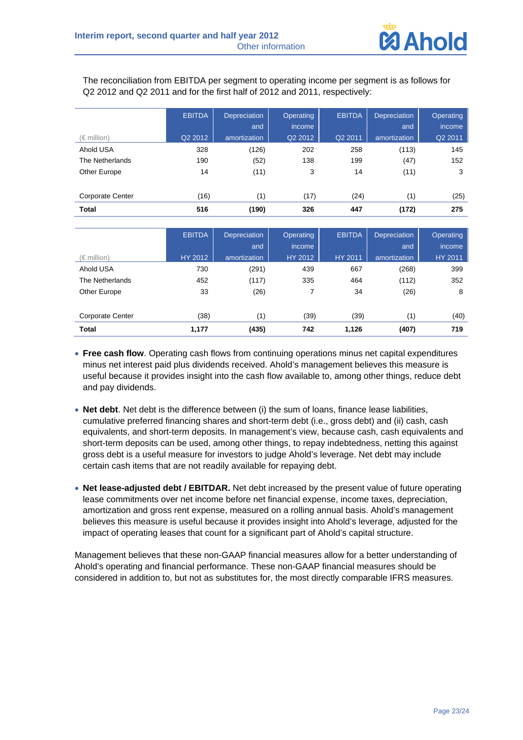

The reconciliation from EBITDA per segment to operating income per segment is as follows for Q2 2012 and Q2 2011 and for the first half of 2012 and 2011, respectively:

|                         | <b>EBITDA</b> | <b>Depreciation</b> | <b>Operating</b> | <b>EBITDA</b> | <b>Depreciation</b> | <b>Operating</b> |
|-------------------------|---------------|---------------------|------------------|---------------|---------------------|------------------|
|                         |               | and                 | income           |               | and                 | income           |
| $(\in$ million)         | Q2 2012       | amortization        | Q2 2012          | Q2 2011       | amortization        | Q2 2011          |
| Ahold USA               | 328           | (126)               | 202              | 258           | (113)               | 145              |
| The Netherlands         | 190           | (52)                | 138              | 199           | (47)                | 152              |
| Other Europe            | 14            | (11)                | 3                | 14            | (11)                | 3                |
|                         |               |                     |                  |               |                     |                  |
| <b>Corporate Center</b> | (16)          | (1)                 | (17)             | (24)          | (1)                 | (25)             |
| <b>Total</b>            | 516           | (190)               | 326              | 447           | (172)               | 275              |

|                         | <b>EBITDA</b> | Depreciation | Operating | <b>EBITDA</b> | <b>Depreciation</b> | Operating |
|-------------------------|---------------|--------------|-----------|---------------|---------------------|-----------|
|                         |               | and          | income    |               | and                 | income    |
| $(\in$ million)         | HY 2012       | amortization | HY 2012   | HY 2011       | amortization        | HY 2011   |
| Ahold USA               | 730           | (291)        | 439       | 667           | (268)               | 399       |
| The Netherlands         | 452           | (117)        | 335       | 464           | (112)               | 352       |
| Other Europe            | 33            | (26)         | 7         | 34            | (26)                | 8         |
| <b>Corporate Center</b> | (38)          | (1)          | (39)      | (39)          | (1)                 | (40)      |
| <b>Total</b>            | 1,177         | (435)        | 742       | 1,126         | (407)               | 719       |

- **Free cash flow**. Operating cash flows from continuing operations minus net capital expenditures minus net interest paid plus dividends received. Ahold's management believes this measure is useful because it provides insight into the cash flow available to, among other things, reduce debt and pay dividends.
- **Net debt**. Net debt is the difference between (i) the sum of loans, finance lease liabilities, cumulative preferred financing shares and short-term debt (i.e., gross debt) and (ii) cash, cash equivalents, and short-term deposits. In management's view, because cash, cash equivalents and short-term deposits can be used, among other things, to repay indebtedness, netting this against gross debt is a useful measure for investors to judge Ahold's leverage. Net debt may include certain cash items that are not readily available for repaying debt.
- **Net lease-adjusted debt / EBITDAR.** Net debt increased by the present value of future operating lease commitments over net income before net financial expense, income taxes, depreciation, amortization and gross rent expense, measured on a rolling annual basis. Ahold's management believes this measure is useful because it provides insight into Ahold's leverage, adjusted for the impact of operating leases that count for a significant part of Ahold's capital structure.

Management believes that these non-GAAP financial measures allow for a better understanding of Ahold's operating and financial performance. These non-GAAP financial measures should be considered in addition to, but not as substitutes for, the most directly comparable IFRS measures.